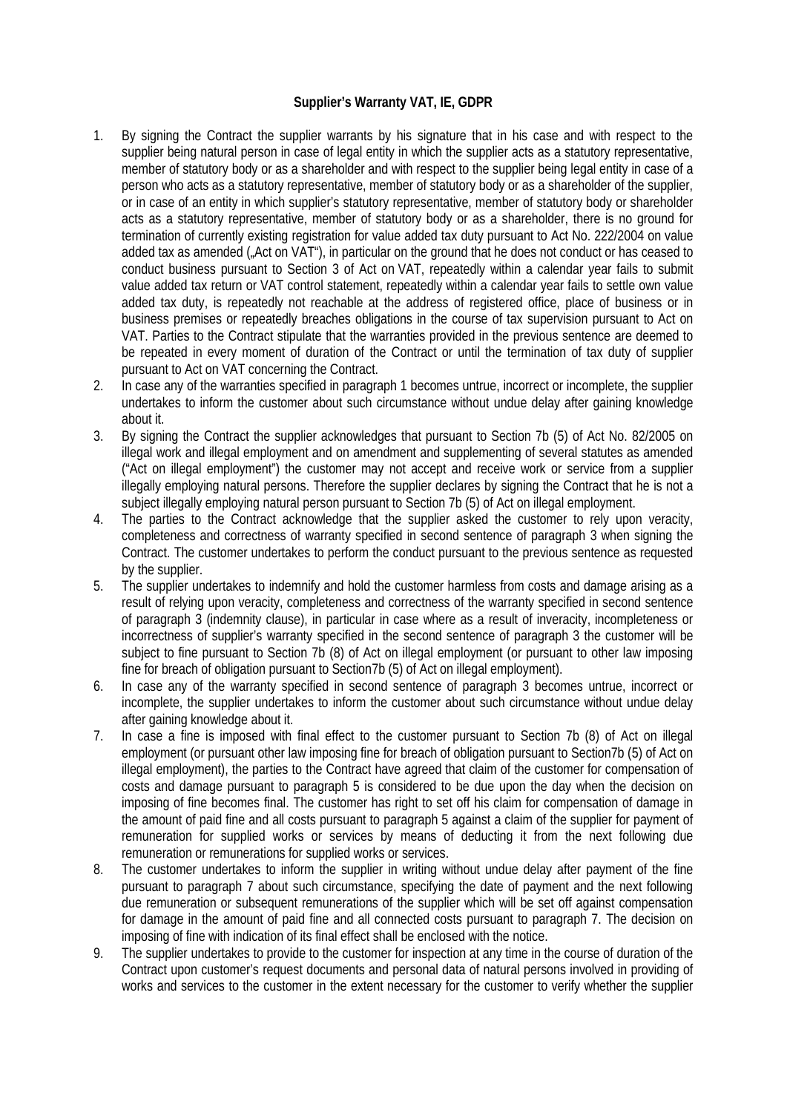## **Supplier's Warranty VAT, IE, GDPR**

- 1. By signing the Contract the supplier warrants by his signature that in his case and with respect to the supplier being natural person in case of legal entity in which the supplier acts as a statutory representative, member of statutory body or as a shareholder and with respect to the supplier being legal entity in case of a person who acts as a statutory representative, member of statutory body or as a shareholder of the supplier, or in case of an entity in which supplier's statutory representative, member of statutory body or shareholder acts as a statutory representative, member of statutory body or as a shareholder, there is no ground for termination of currently existing registration for value added tax duty pursuant to Act No. 222/2004 on value added tax as amended ("Act on VAT"), in particular on the ground that he does not conduct or has ceased to conduct business pursuant to Section 3 of Act on VAT, repeatedly within a calendar year fails to submit value added tax return or VAT control statement, repeatedly within a calendar year fails to settle own value added tax duty, is repeatedly not reachable at the address of registered office, place of business or in business premises or repeatedly breaches obligations in the course of tax supervision pursuant to Act on VAT. Parties to the Contract stipulate that the warranties provided in the previous sentence are deemed to be repeated in every moment of duration of the Contract or until the termination of tax duty of supplier pursuant to Act on VAT concerning the Contract.
- 2. In case any of the warranties specified in paragraph 1 becomes untrue, incorrect or incomplete, the supplier undertakes to inform the customer about such circumstance without undue delay after gaining knowledge about it.
- 3. By signing the Contract the supplier acknowledges that pursuant to Section 7b (5) of Act No. 82/2005 on illegal work and illegal employment and on amendment and supplementing of several statutes as amended ("Act on illegal employment") the customer may not accept and receive work or service from a supplier illegally employing natural persons. Therefore the supplier declares by signing the Contract that he is not a subject illegally employing natural person pursuant to Section 7b (5) of Act on illegal employment.
- 4. The parties to the Contract acknowledge that the supplier asked the customer to rely upon veracity, completeness and correctness of warranty specified in second sentence of paragraph 3 when signing the Contract. The customer undertakes to perform the conduct pursuant to the previous sentence as requested by the supplier.
- 5. The supplier undertakes to indemnify and hold the customer harmless from costs and damage arising as a result of relying upon veracity, completeness and correctness of the warranty specified in second sentence of paragraph 3 (indemnity clause), in particular in case where as a result of inveracity, incompleteness or incorrectness of supplier's warranty specified in the second sentence of paragraph 3 the customer will be subject to fine pursuant to Section 7b (8) of Act on illegal employment (or pursuant to other law imposing fine for breach of obligation pursuant to Section7b (5) of Act on illegal employment).
- 6. In case any of the warranty specified in second sentence of paragraph 3 becomes untrue, incorrect or incomplete, the supplier undertakes to inform the customer about such circumstance without undue delay after gaining knowledge about it.
- 7. In case a fine is imposed with final effect to the customer pursuant to Section 7b (8) of Act on illegal employment (or pursuant other law imposing fine for breach of obligation pursuant to Section7b (5) of Act on illegal employment), the parties to the Contract have agreed that claim of the customer for compensation of costs and damage pursuant to paragraph 5 is considered to be due upon the day when the decision on imposing of fine becomes final. The customer has right to set off his claim for compensation of damage in the amount of paid fine and all costs pursuant to paragraph 5 against a claim of the supplier for payment of remuneration for supplied works or services by means of deducting it from the next following due remuneration or remunerations for supplied works or services.
- 8. The customer undertakes to inform the supplier in writing without undue delay after payment of the fine pursuant to paragraph 7 about such circumstance, specifying the date of payment and the next following due remuneration or subsequent remunerations of the supplier which will be set off against compensation for damage in the amount of paid fine and all connected costs pursuant to paragraph 7. The decision on imposing of fine with indication of its final effect shall be enclosed with the notice.
- 9. The supplier undertakes to provide to the customer for inspection at any time in the course of duration of the Contract upon customer's request documents and personal data of natural persons involved in providing of works and services to the customer in the extent necessary for the customer to verify whether the supplier